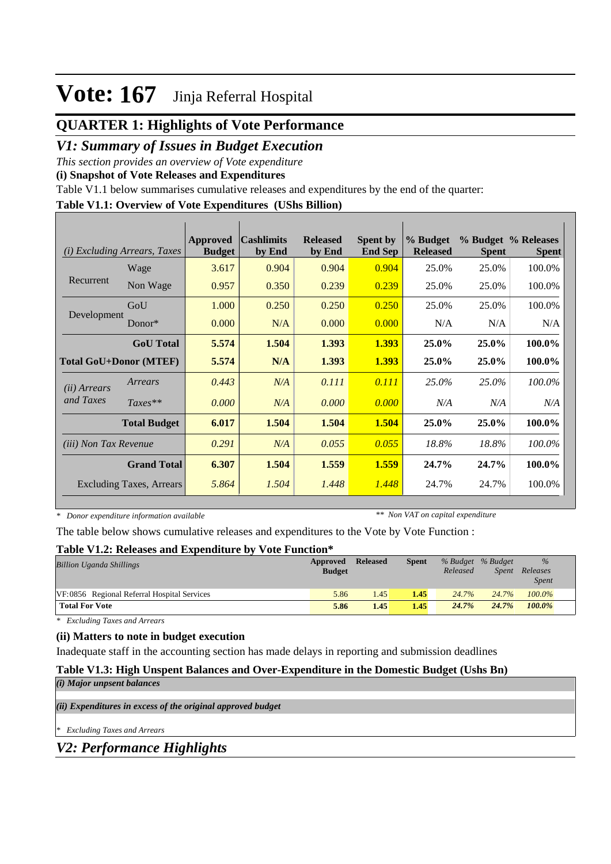## **QUARTER 1: Highlights of Vote Performance**

## *V1: Summary of Issues in Budget Execution*

*This section provides an overview of Vote expenditure* 

**(i) Snapshot of Vote Releases and Expenditures**

Table V1.1 below summarises cumulative releases and expenditures by the end of the quarter:

#### **Table V1.1: Overview of Vote Expenditures (UShs Billion)**

| (i)                          | <i>Excluding Arrears, Taxes</i> | Approved<br><b>Budget</b> | <b>Cashlimits</b><br>by End | <b>Released</b><br>by End | <b>Spent by</b><br><b>End Sep</b> | % Budget<br><b>Released</b> | <b>Spent</b> | % Budget % Releases<br><b>Spent</b> |
|------------------------------|---------------------------------|---------------------------|-----------------------------|---------------------------|-----------------------------------|-----------------------------|--------------|-------------------------------------|
|                              | Wage                            | 3.617                     | 0.904                       | 0.904                     | 0.904                             | 25.0%                       | 25.0%        | 100.0%                              |
| Recurrent                    | Non Wage                        | 0.957                     | 0.350                       | 0.239                     | 0.239                             | 25.0%                       | 25.0%        | 100.0%                              |
|                              | GoU                             | 1.000                     | 0.250                       | 0.250                     | 0.250                             | 25.0%                       | 25.0%        | 100.0%                              |
| Development                  | Donor $*$                       | 0.000                     | N/A                         | 0.000                     | 0.000                             | N/A                         | N/A          | N/A                                 |
|                              | <b>GoU</b> Total                | 5.574                     | 1.504                       | 1.393                     | 1.393                             | 25.0%                       | 25.0%        | 100.0%                              |
|                              | <b>Total GoU+Donor (MTEF)</b>   | 5.574                     | N/A                         | 1.393                     | 1.393                             | 25.0%                       | 25.0%        | 100.0%                              |
| ( <i>ii</i> ) Arrears        | Arrears                         | 0.443                     | N/A                         | 0.111                     | 0.111                             | 25.0%                       | 25.0%        | 100.0%                              |
| and Taxes                    | $Taxes**$                       | 0.000                     | N/A                         | 0.000                     | 0.000                             | N/A                         | N/A          | N/A                                 |
|                              | <b>Total Budget</b>             | 6.017                     | 1.504                       | 1.504                     | 1.504                             | 25.0%                       | 25.0%        | 100.0%                              |
| <i>(iii)</i> Non Tax Revenue |                                 | 0.291                     | N/A                         | 0.055                     | 0.055                             | 18.8%                       | 18.8%        | 100.0%                              |
|                              | <b>Grand Total</b>              | 6.307                     | 1.504                       | 1.559                     | 1.559                             | 24.7%                       | 24.7%        | 100.0%                              |
|                              | Excluding Taxes, Arrears        | 5.864                     | 1.504                       | 1.448                     | 1.448                             | 24.7%                       | 24.7%        | 100.0%                              |

*\* Donor expenditure information available*

*\*\* Non VAT on capital expenditure*

The table below shows cumulative releases and expenditures to the Vote by Vote Function :

#### **Table V1.2: Releases and Expenditure by Vote Function\***

| <b>Billion Uganda Shillings</b>             | Approved<br><b>Budget</b> | <b>Released</b> | <b>Spent</b> | Released | % Budget % Budget<br>Spent | $\frac{9}{6}$<br>Releases<br><i>Spent</i> |
|---------------------------------------------|---------------------------|-----------------|--------------|----------|----------------------------|-------------------------------------------|
| VF:0856 Regional Referral Hospital Services | 5.86                      | 1.45            | 1.45         | 24.7%    | 24.7%                      | $100.0\%$                                 |
| <b>Total For Vote</b>                       | 5.86                      | 1.45            | 1.45         | 24.7%    | 24.7%                      | $100.0\%$                                 |

*\* Excluding Taxes and Arrears*

### **(ii) Matters to note in budget execution**

Inadequate staff in the accounting section has made delays in reporting and submission deadlines

### **Table V1.3: High Unspent Balances and Over-Expenditure in the Domestic Budget (Ushs Bn)**

|  |  |  |  | (i) Major unpsent balances |
|--|--|--|--|----------------------------|
|--|--|--|--|----------------------------|

*(ii) Expenditures in excess of the original approved budget*

*\* Excluding Taxes and Arrears*

*V2: Performance Highlights*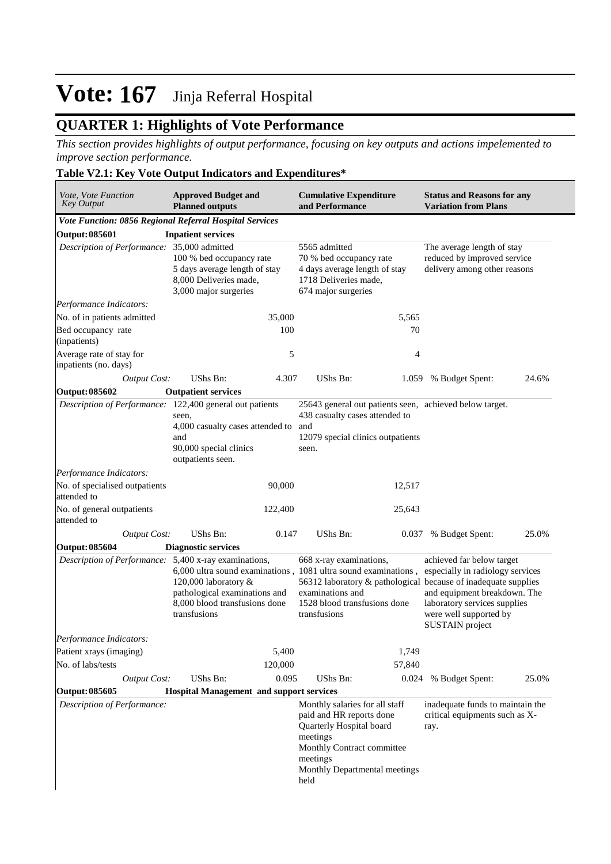## **QUARTER 1: Highlights of Vote Performance**

*This section provides highlights of output performance, focusing on key outputs and actions impelemented to improve section performance.*

### **Table V2.1: Key Vote Output Indicators and Expenditures\***

| Vote, Vote Function<br><b>Key Output</b>                                                                                                                                                                                          | <b>Approved Budget and</b><br><b>Planned outputs</b>                                                         |                                                                                                                                                               | <b>Cumulative Expenditure</b><br>and Performance                                                                                                                                      |                                                                                                                                                                            | <b>Status and Reasons for any</b><br><b>Variation from Plans</b>                          |       |  |
|-----------------------------------------------------------------------------------------------------------------------------------------------------------------------------------------------------------------------------------|--------------------------------------------------------------------------------------------------------------|---------------------------------------------------------------------------------------------------------------------------------------------------------------|---------------------------------------------------------------------------------------------------------------------------------------------------------------------------------------|----------------------------------------------------------------------------------------------------------------------------------------------------------------------------|-------------------------------------------------------------------------------------------|-------|--|
| Vote Function: 0856 Regional Referral Hospital Services                                                                                                                                                                           |                                                                                                              |                                                                                                                                                               |                                                                                                                                                                                       |                                                                                                                                                                            |                                                                                           |       |  |
| <b>Output: 085601</b>                                                                                                                                                                                                             | <b>Inpatient services</b>                                                                                    |                                                                                                                                                               |                                                                                                                                                                                       |                                                                                                                                                                            |                                                                                           |       |  |
| Description of Performance: 35,000 admitted                                                                                                                                                                                       | 100 % bed occupancy rate<br>5 days average length of stay<br>8,000 Deliveries made,<br>3,000 major surgeries |                                                                                                                                                               | 5565 admitted<br>70 % bed occupancy rate<br>4 days average length of stay<br>1718 Deliveries made,<br>674 major surgeries                                                             |                                                                                                                                                                            | The average length of stay<br>reduced by improved service<br>delivery among other reasons |       |  |
| Performance Indicators:                                                                                                                                                                                                           |                                                                                                              |                                                                                                                                                               |                                                                                                                                                                                       |                                                                                                                                                                            |                                                                                           |       |  |
| No. of in patients admitted                                                                                                                                                                                                       |                                                                                                              | 35,000                                                                                                                                                        |                                                                                                                                                                                       | 5,565                                                                                                                                                                      |                                                                                           |       |  |
| Bed occupancy rate<br>(inpatients)                                                                                                                                                                                                |                                                                                                              | 100                                                                                                                                                           |                                                                                                                                                                                       | 70                                                                                                                                                                         |                                                                                           |       |  |
| Average rate of stay for<br>inpatients (no. days)                                                                                                                                                                                 |                                                                                                              | 5                                                                                                                                                             |                                                                                                                                                                                       | 4                                                                                                                                                                          |                                                                                           |       |  |
| <b>Output Cost:</b>                                                                                                                                                                                                               | <b>UShs Bn:</b>                                                                                              | 4.307                                                                                                                                                         | UShs Bn:                                                                                                                                                                              | 1.059                                                                                                                                                                      | % Budget Spent:                                                                           | 24.6% |  |
| <b>Output: 085602</b>                                                                                                                                                                                                             | <b>Outpatient services</b>                                                                                   |                                                                                                                                                               |                                                                                                                                                                                       |                                                                                                                                                                            |                                                                                           |       |  |
| Description of Performance: 122,400 general out patients                                                                                                                                                                          | seen,<br>4,000 casualty cases attended to<br>and<br>90,000 special clinics<br>outpatients seen.              |                                                                                                                                                               | 25643 general out patients seen, achieved below target.<br>438 casualty cases attended to<br>and<br>12079 special clinics outpatients<br>seen.                                        |                                                                                                                                                                            |                                                                                           |       |  |
| Performance Indicators:                                                                                                                                                                                                           |                                                                                                              |                                                                                                                                                               |                                                                                                                                                                                       |                                                                                                                                                                            |                                                                                           |       |  |
| No. of specialised outpatients<br>attended to                                                                                                                                                                                     |                                                                                                              | 90,000                                                                                                                                                        |                                                                                                                                                                                       | 12,517                                                                                                                                                                     |                                                                                           |       |  |
| No. of general outpatients<br>attended to                                                                                                                                                                                         |                                                                                                              | 122,400                                                                                                                                                       |                                                                                                                                                                                       | 25,643                                                                                                                                                                     |                                                                                           |       |  |
| <b>Output Cost:</b>                                                                                                                                                                                                               | <b>UShs Bn:</b>                                                                                              | 0.147                                                                                                                                                         | UShs Bn:                                                                                                                                                                              | 0.037                                                                                                                                                                      | % Budget Spent:                                                                           | 25.0% |  |
| <b>Output: 085604</b>                                                                                                                                                                                                             | <b>Diagnostic services</b>                                                                                   |                                                                                                                                                               |                                                                                                                                                                                       |                                                                                                                                                                            |                                                                                           |       |  |
| Description of Performance: 5,400 x-ray examinations,<br>6,000 ultra sound examinations, 1081 ultra sound examinations,<br>120,000 laboratory &<br>pathological examinations and<br>8,000 blood transfusions done<br>transfusions |                                                                                                              | 668 x-ray examinations,<br>56312 laboratory & pathological because of inadequate supplies<br>examinations and<br>1528 blood transfusions done<br>transfusions |                                                                                                                                                                                       | achieved far below target<br>especially in radiology services<br>and equipment breakdown. The<br>laboratory services supplies<br>were well supported by<br>SUSTAIN project |                                                                                           |       |  |
| Performance Indicators:                                                                                                                                                                                                           |                                                                                                              |                                                                                                                                                               |                                                                                                                                                                                       |                                                                                                                                                                            |                                                                                           |       |  |
| Patient xrays (imaging)<br>No. of labs/tests                                                                                                                                                                                      |                                                                                                              | 5,400                                                                                                                                                         |                                                                                                                                                                                       | 1,749                                                                                                                                                                      |                                                                                           |       |  |
|                                                                                                                                                                                                                                   |                                                                                                              | 120,000                                                                                                                                                       |                                                                                                                                                                                       | 57,840                                                                                                                                                                     |                                                                                           |       |  |
| <b>Output Cost:</b><br><b>Output: 085605</b>                                                                                                                                                                                      | UShs Bn:<br><b>Hospital Management and support services</b>                                                  | 0.095                                                                                                                                                         | UShs Bn:                                                                                                                                                                              | 0.024                                                                                                                                                                      | % Budget Spent:                                                                           | 25.0% |  |
| Description of Performance:                                                                                                                                                                                                       |                                                                                                              |                                                                                                                                                               | Monthly salaries for all staff<br>paid and HR reports done<br>Quarterly Hospital board<br>meetings<br>Monthly Contract committee<br>meetings<br>Monthly Departmental meetings<br>held |                                                                                                                                                                            | inadequate funds to maintain the<br>critical equipments such as X-<br>ray.                |       |  |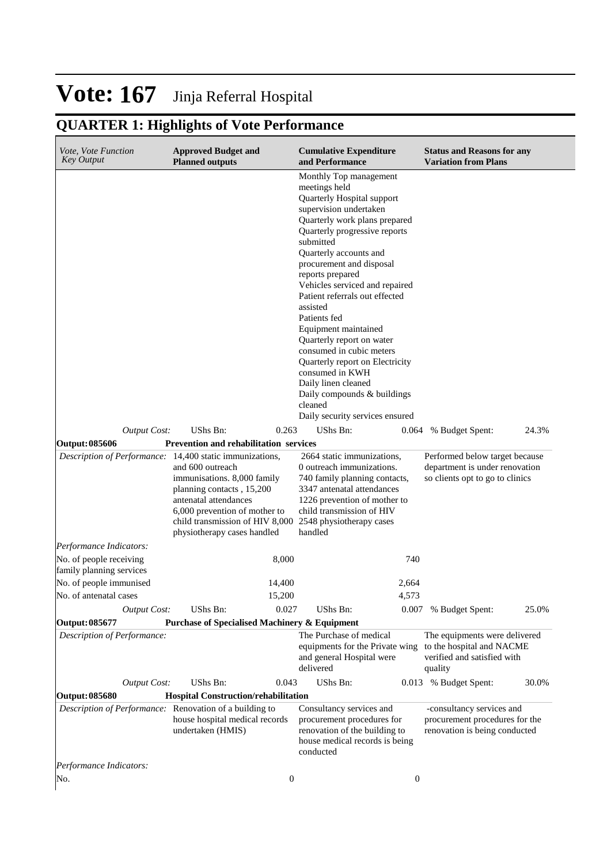## **QUARTER 1: Highlights of Vote Performance**

| <i>Vote, Vote Function</i><br><b>Key Output</b>                                | <b>Approved Budget and</b><br><b>Planned outputs</b>                                                                                                                                                                              | <b>Cumulative Expenditure</b><br>and Performance                                                                                                                                                                                                                                                                                                                                                                                                                                                                                                                                                    | <b>Status and Reasons for any</b><br><b>Variation from Plans</b>                                     |
|--------------------------------------------------------------------------------|-----------------------------------------------------------------------------------------------------------------------------------------------------------------------------------------------------------------------------------|-----------------------------------------------------------------------------------------------------------------------------------------------------------------------------------------------------------------------------------------------------------------------------------------------------------------------------------------------------------------------------------------------------------------------------------------------------------------------------------------------------------------------------------------------------------------------------------------------------|------------------------------------------------------------------------------------------------------|
|                                                                                |                                                                                                                                                                                                                                   | Monthly Top management<br>meetings held<br>Quarterly Hospital support<br>supervision undertaken<br>Quarterly work plans prepared<br>Quarterly progressive reports<br>submitted<br>Quarterly accounts and<br>procurement and disposal<br>reports prepared<br>Vehicles serviced and repaired<br>Patient referrals out effected<br>assisted<br>Patients fed<br>Equipment maintained<br>Quarterly report on water<br>consumed in cubic meters<br>Quarterly report on Electricity<br>consumed in KWH<br>Daily linen cleaned<br>Daily compounds & buildings<br>cleaned<br>Daily security services ensured |                                                                                                      |
| Output Cost:                                                                   | UShs Bn:<br>0.263                                                                                                                                                                                                                 | UShs Bn:<br>0.064                                                                                                                                                                                                                                                                                                                                                                                                                                                                                                                                                                                   | % Budget Spent:<br>24.3%                                                                             |
| <b>Output: 085606</b>                                                          | <b>Prevention and rehabilitation services</b>                                                                                                                                                                                     |                                                                                                                                                                                                                                                                                                                                                                                                                                                                                                                                                                                                     |                                                                                                      |
| Description of Performance: 14,400 static immunizations,                       | and 600 outreach<br>immunisations. 8,000 family<br>planning contacts, 15,200<br>antenatal attendances<br>6,000 prevention of mother to<br>child transmission of HIV 8,000 2548 physiotherapy cases<br>physiotherapy cases handled | 2664 static immunizations,<br>0 outreach immunizations.<br>740 family planning contacts,<br>3347 antenatal attendances<br>1226 prevention of mother to<br>child transmission of HIV<br>handled                                                                                                                                                                                                                                                                                                                                                                                                      | Performed below target because<br>department is under renovation<br>so clients opt to go to clinics  |
| Performance Indicators:                                                        |                                                                                                                                                                                                                                   |                                                                                                                                                                                                                                                                                                                                                                                                                                                                                                                                                                                                     |                                                                                                      |
| No. of people receiving<br>family planning services<br>No. of people immunised | 8,000<br>14,400                                                                                                                                                                                                                   | 740<br>2,664                                                                                                                                                                                                                                                                                                                                                                                                                                                                                                                                                                                        |                                                                                                      |
| No. of antenatal cases                                                         | 15,200                                                                                                                                                                                                                            | 4,573                                                                                                                                                                                                                                                                                                                                                                                                                                                                                                                                                                                               |                                                                                                      |
| <b>Output Cost:</b>                                                            | UShs Bn:<br>0.027                                                                                                                                                                                                                 | <b>UShs Bn:</b>                                                                                                                                                                                                                                                                                                                                                                                                                                                                                                                                                                                     | 25.0%<br>0.007 % Budget Spent:                                                                       |
| Output: 085677                                                                 | <b>Purchase of Specialised Machinery &amp; Equipment</b>                                                                                                                                                                          |                                                                                                                                                                                                                                                                                                                                                                                                                                                                                                                                                                                                     |                                                                                                      |
| Description of Performance:                                                    |                                                                                                                                                                                                                                   | The Purchase of medical<br>equipments for the Private wing<br>and general Hospital were<br>delivered                                                                                                                                                                                                                                                                                                                                                                                                                                                                                                | The equipments were delivered<br>to the hospital and NACME<br>verified and satisfied with<br>quality |
| <b>Output Cost:</b>                                                            | UShs Bn:<br>0.043                                                                                                                                                                                                                 | UShs Bn:                                                                                                                                                                                                                                                                                                                                                                                                                                                                                                                                                                                            | 0.013 % Budget Spent:<br>30.0%                                                                       |
| Output: 085680                                                                 | <b>Hospital Construction/rehabilitation</b>                                                                                                                                                                                       |                                                                                                                                                                                                                                                                                                                                                                                                                                                                                                                                                                                                     |                                                                                                      |
| Description of Performance: Renovation of a building to                        | house hospital medical records<br>undertaken (HMIS)                                                                                                                                                                               | Consultancy services and<br>procurement procedures for<br>renovation of the building to<br>house medical records is being<br>conducted                                                                                                                                                                                                                                                                                                                                                                                                                                                              | -consultancy services and<br>procurement procedures for the<br>renovation is being conducted         |
| Performance Indicators:                                                        |                                                                                                                                                                                                                                   |                                                                                                                                                                                                                                                                                                                                                                                                                                                                                                                                                                                                     |                                                                                                      |
| No.                                                                            |                                                                                                                                                                                                                                   | $\boldsymbol{0}$<br>$\boldsymbol{0}$                                                                                                                                                                                                                                                                                                                                                                                                                                                                                                                                                                |                                                                                                      |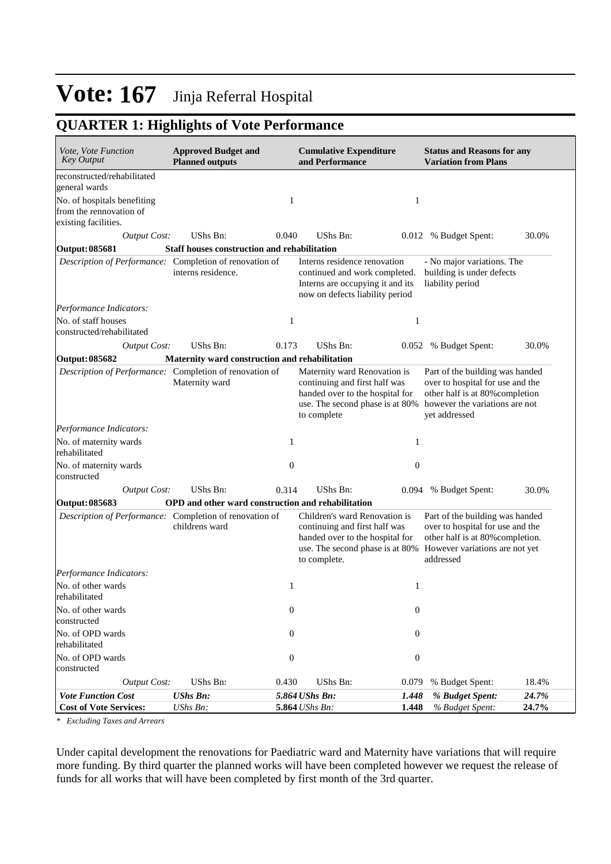## **QUARTER 1: Highlights of Vote Performance**

| <i>Vote, Vote Function</i><br><b>Key Output</b>                                | <b>Approved Budget and</b><br><b>Planned outputs</b> |                                  | <b>Cumulative Expenditure</b><br>and Performance                                                                                                     |                  | <b>Status and Reasons for any</b><br><b>Variation from Plans</b>                                                                                          |                |
|--------------------------------------------------------------------------------|------------------------------------------------------|----------------------------------|------------------------------------------------------------------------------------------------------------------------------------------------------|------------------|-----------------------------------------------------------------------------------------------------------------------------------------------------------|----------------|
| reconstructed/rehabilitated<br>general wards                                   |                                                      |                                  |                                                                                                                                                      |                  |                                                                                                                                                           |                |
| No. of hospitals benefiting<br>from the rennovation of<br>existing facilities. |                                                      | 1                                |                                                                                                                                                      | 1                |                                                                                                                                                           |                |
| <b>Output Cost:</b>                                                            | UShs Bn:                                             | 0.040                            | UShs Bn:                                                                                                                                             |                  | 0.012 % Budget Spent:                                                                                                                                     | 30.0%          |
| <b>Output: 085681</b>                                                          | <b>Staff houses construction and rehabilitation</b>  |                                  |                                                                                                                                                      |                  |                                                                                                                                                           |                |
| Description of Performance: Completion of renovation of                        | interns residence.                                   |                                  | Interns residence renovation<br>continued and work completed.<br>Interns are occupying it and its<br>now on defects liability period                 |                  | - No major variations. The<br>building is under defects<br>liability period                                                                               |                |
| Performance Indicators:                                                        |                                                      |                                  |                                                                                                                                                      |                  |                                                                                                                                                           |                |
| No. of staff houses<br>constructed/rehabilitated                               |                                                      | 1                                |                                                                                                                                                      | 1                |                                                                                                                                                           |                |
| <b>Output Cost:</b>                                                            | UShs Bn:                                             | 0.173                            | UShs Bn:                                                                                                                                             |                  | 0.052 % Budget Spent:                                                                                                                                     | 30.0%          |
| <b>Output: 085682</b>                                                          | Maternity ward construction and rehabilitation       |                                  |                                                                                                                                                      |                  |                                                                                                                                                           |                |
| Description of Performance: Completion of renovation of                        | Maternity ward                                       |                                  | Maternity ward Renovation is<br>continuing and first half was<br>handed over to the hospital for<br>use. The second phase is at 80%<br>to complete   |                  | Part of the building was handed<br>over to hospital for use and the<br>other half is at 80% completion<br>however the variations are not<br>yet addressed |                |
| Performance Indicators:                                                        |                                                      |                                  |                                                                                                                                                      |                  |                                                                                                                                                           |                |
| No. of maternity wards<br>rehabilitated                                        |                                                      | 1                                |                                                                                                                                                      | 1                |                                                                                                                                                           |                |
| No. of maternity wards<br>constructed                                          |                                                      | $\overline{0}$                   |                                                                                                                                                      | $\boldsymbol{0}$ |                                                                                                                                                           |                |
| <b>Output Cost:</b>                                                            | UShs Bn:                                             | 0.314                            | UShs Bn:                                                                                                                                             |                  | 0.094 % Budget Spent:                                                                                                                                     | 30.0%          |
| Output: 085683                                                                 | OPD and other ward construction and rehabilitation   |                                  |                                                                                                                                                      |                  |                                                                                                                                                           |                |
| Description of Performance: Completion of renovation of                        | childrens ward                                       |                                  | Children's ward Renovation is<br>continuing and first half was<br>handed over to the hospital for<br>use. The second phase is at 80%<br>to complete. |                  | Part of the building was handed<br>over to hospital for use and the<br>other half is at 80% completion.<br>However variations are not yet<br>addressed    |                |
| Performance Indicators:                                                        |                                                      |                                  |                                                                                                                                                      |                  |                                                                                                                                                           |                |
| No. of other wards<br>rehabilitated                                            |                                                      | 1                                |                                                                                                                                                      | 1                |                                                                                                                                                           |                |
| No. of other wards<br>constructed                                              |                                                      | $\boldsymbol{0}$                 |                                                                                                                                                      | $\boldsymbol{0}$ |                                                                                                                                                           |                |
| No. of OPD wards<br>rehabilitated                                              |                                                      | 0                                |                                                                                                                                                      | $\boldsymbol{0}$ |                                                                                                                                                           |                |
| No. of OPD wards<br>constructed                                                |                                                      | $\boldsymbol{0}$                 |                                                                                                                                                      | $\boldsymbol{0}$ |                                                                                                                                                           |                |
| <b>Output Cost:</b>                                                            | UShs Bn:                                             | 0.430                            | UShs Bn:                                                                                                                                             | 0.079            | % Budget Spent:                                                                                                                                           | 18.4%          |
| <b>Vote Function Cost</b><br><b>Cost of Vote Services:</b>                     | <b>UShs Bn:</b><br>UShs Bn:                          | 5.864 UShs Bn:<br>5.864 UShs Bn: |                                                                                                                                                      | 1.448<br>1.448   | % Budget Spent:<br>% Budget Spent:                                                                                                                        | 24.7%<br>24.7% |

*\* Excluding Taxes and Arrears*

Under capital development the renovations for Paediatric ward and Maternity have variations that will require more funding. By third quarter the planned works will have been completed however we request the release of funds for all works that will have been completed by first month of the 3rd quarter.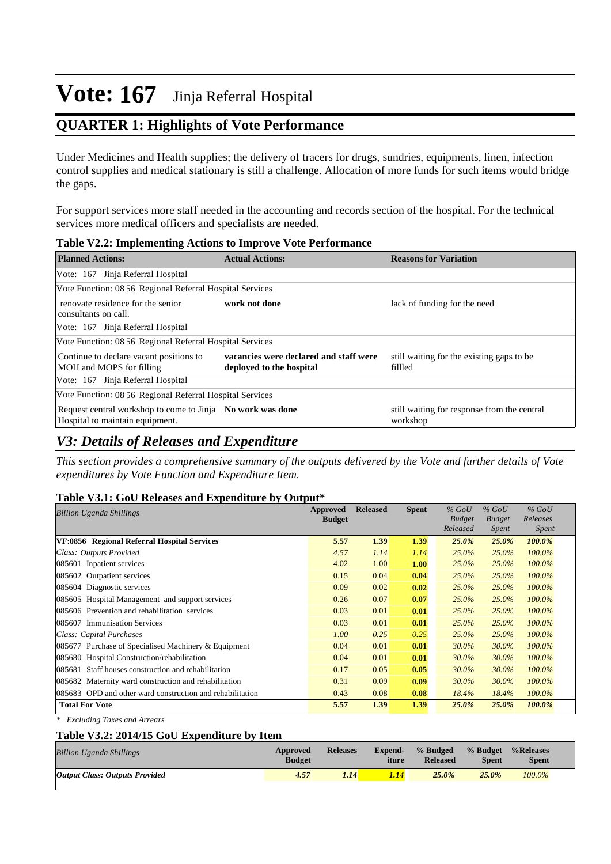## **QUARTER 1: Highlights of Vote Performance**

Under Medicines and Health supplies; the delivery of tracers for drugs, sundries, equipments, linen, infection control supplies and medical stationary is still a challenge. Allocation of more funds for such items would bridge the gaps.

For support services more staff needed in the accounting and records section of the hospital. For the technical services more medical officers and specialists are needed.

| $\sim$ which is the completent value of the value of $\sim$ . The contract of $\sim$          |                                                                    |                                                         |
|-----------------------------------------------------------------------------------------------|--------------------------------------------------------------------|---------------------------------------------------------|
| <b>Planned Actions:</b>                                                                       | <b>Actual Actions:</b>                                             | <b>Reasons for Variation</b>                            |
| Vote: 167 Jinja Referral Hospital                                                             |                                                                    |                                                         |
| Vote Function: 08 56 Regional Referral Hospital Services                                      |                                                                    |                                                         |
| renovate residence for the senior<br>consultants on call.                                     | work not done                                                      | lack of funding for the need                            |
| Vote: 167 Jinja Referral Hospital                                                             |                                                                    |                                                         |
| Vote Function: 08 56 Regional Referral Hospital Services                                      |                                                                    |                                                         |
| Continue to declare vacant positions to<br>MOH and MOPS for filling                           | vacancies were declared and staff were<br>deployed to the hospital | still waiting for the existing gaps to be<br>fillled    |
| Vote: 167 Jinja Referral Hospital                                                             |                                                                    |                                                         |
| Vote Function: 08 56 Regional Referral Hospital Services                                      |                                                                    |                                                         |
| Request central workshop to come to Jinja No work was done<br>Hospital to maintain equipment. |                                                                    | still waiting for response from the central<br>workshop |

#### **Table V2.2: Implementing Actions to Improve Vote Performance**

## *V3: Details of Releases and Expenditure*

*This section provides a comprehensive summary of the outputs delivered by the Vote and further details of Vote expenditures by Vote Function and Expenditure Item.*

### **Table V3.1: GoU Releases and Expenditure by Output\***

| <b>Billion Uganda Shillings</b>                           | Approved      | <b>Released</b> | <b>Spent</b> | $%$ GoU       | $%$ GoU       | $%$ GoU      |
|-----------------------------------------------------------|---------------|-----------------|--------------|---------------|---------------|--------------|
|                                                           | <b>Budget</b> |                 |              | <b>Budget</b> | <b>Budget</b> | Releases     |
|                                                           |               |                 |              | Released      | Spent         | <i>Spent</i> |
| VF:0856 Regional Referral Hospital Services               | 5.57          | 1.39            | 1.39         | 25.0%         | $25.0\%$      | 100.0%       |
| Class: Outputs Provided                                   | 4.57          | 1.14            | 1.14         | $25.0\%$      | $25.0\%$      | $100.0\%$    |
| 085601 Inpatient services                                 | 4.02          | 1.00            | 1.00         | $25.0\%$      | $25.0\%$      | 100.0%       |
| 085602 Outpatient services                                | 0.15          | 0.04            | 0.04         | 25.0%         | 25.0%         | 100.0%       |
| 085604 Diagnostic services                                | 0.09          | 0.02            | 0.02         | $25.0\%$      | $25.0\%$      | $100.0\%$    |
| 085605 Hospital Management and support services           | 0.26          | 0.07            | 0.07         | 25.0%         | 25.0%         | 100.0%       |
| 085606 Prevention and rehabilitation services             | 0.03          | 0.01            | 0.01         | $25.0\%$      | 25.0%         | $100.0\%$    |
| 085607<br><b>Immunisation Services</b>                    | 0.03          | 0.01            | 0.01         | 25.0%         | 25.0%         | 100.0%       |
| Class: Capital Purchases                                  | 1.00          | 0.25            | 0.25         | $25.0\%$      | $25.0\%$      | $100.0\%$    |
| 085677 Purchase of Specialised Machinery & Equipment      | 0.04          | 0.01            | 0.01         | 30.0%         | 30.0%         | $100.0\%$    |
| 085680 Hospital Construction/rehabilitation               | 0.04          | 0.01            | 0.01         | 30.0%         | 30.0%         | $100.0\%$    |
| 085681 Staff houses construction and rehabilitation       | 0.17          | 0.05            | 0.05         | 30.0%         | 30.0%         | 100.0%       |
| 085682 Maternity ward construction and rehabilitation     | 0.31          | 0.09            | 0.09         | 30.0%         | 30.0%         | $100.0\%$    |
| 085683 OPD and other ward construction and rehabilitation | 0.43          | 0.08            | 0.08         | 18.4%         | 18.4%         | 100.0%       |
| <b>Total For Vote</b>                                     | 5.57          | 1.39            | 1.39         | 25.0%         | 25.0%         | 100.0%       |

*\* Excluding Taxes and Arrears*

### **Table V3.2: 2014/15 GoU Expenditure by Item**

| <b>Billion Uganda Shillings</b>       | Approved<br><b>Budget</b> | <b>Releases</b> | <b>Expend-</b><br>iture | % Budged<br><b>Released</b> | % Budget<br><b>Spent</b> | %Releases<br><b>Spent</b> |  |
|---------------------------------------|---------------------------|-----------------|-------------------------|-----------------------------|--------------------------|---------------------------|--|
| <b>Output Class: Outputs Provided</b> | 4.57                      | 1.14            | <b>A</b>                | 25.0%                       | 25.0%                    | 100.0%                    |  |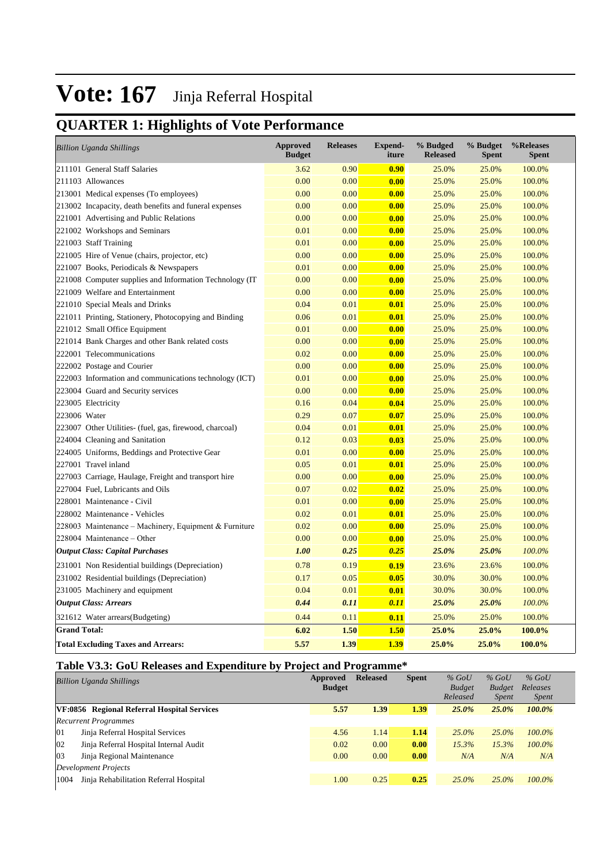## **QUARTER 1: Highlights of Vote Performance**

| <b>Billion Uganda Shillings</b>                          | <b>Approved</b><br><b>Budget</b> | <b>Releases</b> | <b>Expend-</b><br>iture | % Budged<br><b>Released</b> | % Budget<br><b>Spent</b> | %Releases<br>Spent |
|----------------------------------------------------------|----------------------------------|-----------------|-------------------------|-----------------------------|--------------------------|--------------------|
| 211101 General Staff Salaries                            | 3.62                             | 0.90            | 0.90                    | 25.0%                       | 25.0%                    | 100.0%             |
| 211103 Allowances                                        | 0.00                             | 0.00            | 0.00                    | 25.0%                       | 25.0%                    | 100.0%             |
| 213001 Medical expenses (To employees)                   | 0.00                             | 0.00            | 0.00                    | 25.0%                       | 25.0%                    | 100.0%             |
| 213002 Incapacity, death benefits and funeral expenses   | 0.00                             | 0.00            | 0.00                    | 25.0%                       | 25.0%                    | 100.0%             |
| 221001 Advertising and Public Relations                  | 0.00                             | 0.00            | 0.00                    | 25.0%                       | 25.0%                    | 100.0%             |
| 221002 Workshops and Seminars                            | 0.01                             | 0.00            | 0.00                    | 25.0%                       | 25.0%                    | 100.0%             |
| 221003 Staff Training                                    | 0.01                             | 0.00            | 0.00                    | 25.0%                       | 25.0%                    | 100.0%             |
| 221005 Hire of Venue (chairs, projector, etc)            | 0.00                             | 0.00            | 0.00                    | 25.0%                       | 25.0%                    | 100.0%             |
| 221007 Books, Periodicals & Newspapers                   | 0.01                             | 0.00            | 0.00                    | 25.0%                       | 25.0%                    | 100.0%             |
| 221008 Computer supplies and Information Technology (IT) | 0.00                             | 0.00            | 0.00                    | 25.0%                       | 25.0%                    | 100.0%             |
| 221009 Welfare and Entertainment                         | 0.00                             | 0.00            | 0.00                    | 25.0%                       | 25.0%                    | 100.0%             |
| 221010 Special Meals and Drinks                          | 0.04                             | 0.01            | 0.01                    | 25.0%                       | 25.0%                    | 100.0%             |
| 221011 Printing, Stationery, Photocopying and Binding    | 0.06                             | 0.01            | 0.01                    | 25.0%                       | 25.0%                    | 100.0%             |
| 221012 Small Office Equipment                            | 0.01                             | 0.00            | 0.00                    | 25.0%                       | 25.0%                    | 100.0%             |
| 221014 Bank Charges and other Bank related costs         | 0.00                             | 0.00            | 0.00                    | 25.0%                       | 25.0%                    | 100.0%             |
| 222001 Telecommunications                                | 0.02                             | 0.00            | 0.00                    | 25.0%                       | 25.0%                    | 100.0%             |
| 222002 Postage and Courier                               | 0.00                             | 0.00            | 0.00                    | 25.0%                       | 25.0%                    | 100.0%             |
| 222003 Information and communications technology (ICT)   | 0.01                             | 0.00            | 0.00                    | 25.0%                       | 25.0%                    | 100.0%             |
| 223004 Guard and Security services                       | 0.00                             | 0.00            | 0.00                    | 25.0%                       | 25.0%                    | 100.0%             |
| 223005 Electricity                                       | 0.16                             | 0.04            | 0.04                    | 25.0%                       | 25.0%                    | 100.0%             |
| 223006 Water                                             | 0.29                             | 0.07            | 0.07                    | 25.0%                       | 25.0%                    | 100.0%             |
| 223007 Other Utilities- (fuel, gas, firewood, charcoal)  | 0.04                             | 0.01            | 0.01                    | 25.0%                       | 25.0%                    | 100.0%             |
| 224004 Cleaning and Sanitation                           | 0.12                             | 0.03            | 0.03                    | 25.0%                       | 25.0%                    | 100.0%             |
| 224005 Uniforms, Beddings and Protective Gear            | 0.01                             | 0.00            | 0.00                    | 25.0%                       | 25.0%                    | 100.0%             |
| 227001 Travel inland                                     | 0.05                             | 0.01            | 0.01                    | 25.0%                       | 25.0%                    | 100.0%             |
| 227003 Carriage, Haulage, Freight and transport hire     | 0.00                             | 0.00            | 0.00                    | 25.0%                       | 25.0%                    | 100.0%             |
| 227004 Fuel, Lubricants and Oils                         | 0.07                             | 0.02            | 0.02                    | 25.0%                       | 25.0%                    | 100.0%             |
| 228001 Maintenance - Civil                               | 0.01                             | 0.00            | 0.00                    | 25.0%                       | 25.0%                    | 100.0%             |
| 228002 Maintenance - Vehicles                            | 0.02                             | 0.01            | 0.01                    | 25.0%                       | 25.0%                    | 100.0%             |
| 228003 Maintenance – Machinery, Equipment & Furniture    | 0.02                             | 0.00            | 0.00                    | 25.0%                       | 25.0%                    | 100.0%             |
| 228004 Maintenance – Other                               | 0.00                             | 0.00            | 0.00                    | 25.0%                       | 25.0%                    | 100.0%             |
| <b>Output Class: Capital Purchases</b>                   | 1.00                             | 0.25            | 0.25                    | 25.0%                       | 25.0%                    | 100.0%             |
| 231001 Non Residential buildings (Depreciation)          | 0.78                             | 0.19            | 0.19                    | 23.6%                       | 23.6%                    | 100.0%             |
| 231002 Residential buildings (Depreciation)              | 0.17                             | 0.05            | 0.05                    | 30.0%                       | 30.0%                    | 100.0%             |
| 231005 Machinery and equipment                           | 0.04                             | 0.01            | 0.01                    | 30.0%                       | 30.0%                    | 100.0%             |
| <b>Output Class: Arrears</b>                             | 0.44                             | 0.11            | 0.11                    | 25.0%                       | 25.0%                    | 100.0%             |
| 321612 Water arrears (Budgeting)                         | 0.44                             | 0.11            | 0.11                    | 25.0%                       | 25.0%                    | 100.0%             |
| <b>Grand Total:</b>                                      | 6.02                             | 1.50            | <b>1.50</b>             | 25.0%                       | 25.0%                    | 100.0%             |
| <b>Total Excluding Taxes and Arrears:</b>                | 5.57                             | 1.39            | 1.39                    | 25.0%                       | 25.0%                    | 100.0%             |

## **Table V3.3: GoU Releases and Expenditure by Project and Programme\***

|      | <b>Billion Uganda Shillings</b>             | Approved      | <b>Released</b> | <b>Spent</b> | $%$ GoU       | $%$ GoU       | $%$ GoU      |
|------|---------------------------------------------|---------------|-----------------|--------------|---------------|---------------|--------------|
|      |                                             | <b>Budget</b> |                 |              | <b>Budget</b> | <b>Budget</b> | Releases     |
|      |                                             |               |                 |              | Released      | <i>Spent</i>  | <i>Spent</i> |
|      | VF:0856 Regional Referral Hospital Services | 5.57          | 1.39            | 1.39         | $25.0\%$      | 25.0%         | 100.0%       |
|      | <b>Recurrent Programmes</b>                 |               |                 |              |               |               |              |
| 01   | Jinja Referral Hospital Services            | 4.56          | 1.14            | 1.14         | $25.0\%$      | $25.0\%$      | $100.0\%$    |
| 02   | Jinja Referral Hospital Internal Audit      | 0.02          | 0.00            | 0.00         | 15.3%         | 15.3%         | 100.0%       |
| 03   | Jinja Regional Maintenance                  | 0.00          | 0.00            | 0.00         | N/A           | N/A           | N/A          |
|      | Development Projects                        |               |                 |              |               |               |              |
| 1004 | Jinja Rehabilitation Referral Hospital      | 1.00          | 0.25            | 0.25         | $25.0\%$      | $25.0\%$      | 100.0%       |
|      |                                             |               |                 |              |               |               |              |